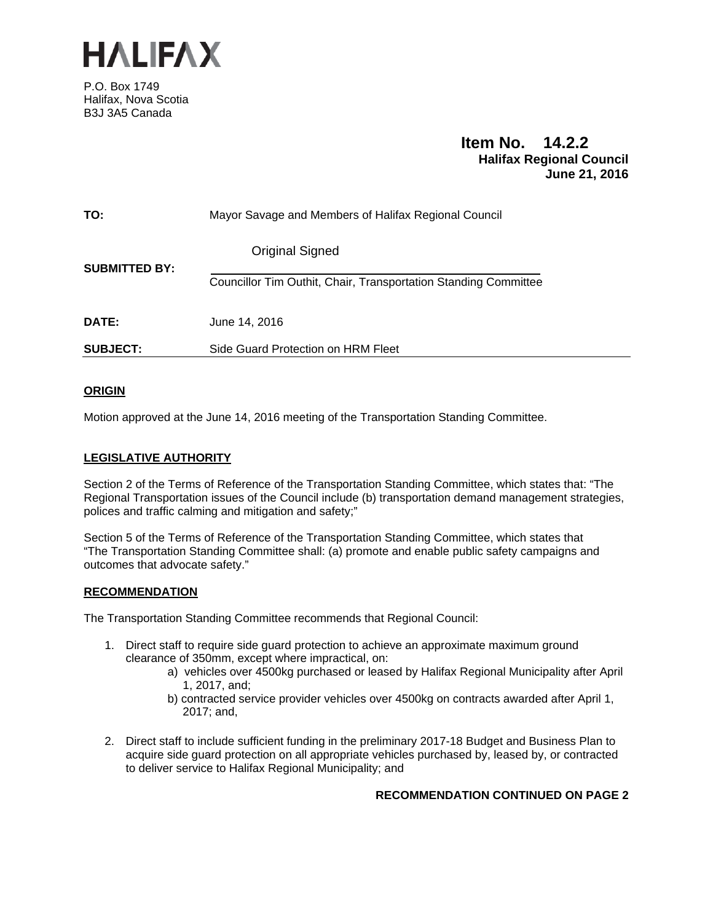

P.O. Box 1749 Halifax, Nova Scotia B3J 3A5 Canada

# **Item No. 14.2.2 Halifax Regional Council June 21, 2016**

| TO:                  | Mayor Savage and Members of Halifax Regional Council            |
|----------------------|-----------------------------------------------------------------|
| <b>SUBMITTED BY:</b> | <b>Original Signed</b>                                          |
|                      | Councillor Tim Outhit, Chair, Transportation Standing Committee |
| DATE:                | June 14, 2016                                                   |
| <b>SUBJECT:</b>      | Side Guard Protection on HRM Fleet                              |

# **ORIGIN**

Motion approved at the June 14, 2016 meeting of the Transportation Standing Committee.

# **LEGISLATIVE AUTHORITY**

Section 2 of the Terms of Reference of the Transportation Standing Committee, which states that: "The Regional Transportation issues of the Council include (b) transportation demand management strategies, polices and traffic calming and mitigation and safety;"

Section 5 of the Terms of Reference of the Transportation Standing Committee, which states that "The Transportation Standing Committee shall: (a) promote and enable public safety campaigns and outcomes that advocate safety."

## **RECOMMENDATION**

The Transportation Standing Committee recommends that Regional Council:

- 1. Direct staff to require side guard protection to achieve an approximate maximum ground clearance of 350mm, except where impractical, on:
	- a) vehicles over 4500kg purchased or leased by Halifax Regional Municipality after April 1, 2017, and;
	- b) contracted service provider vehicles over 4500kg on contracts awarded after April 1, 2017; and,
- 2. Direct staff to include sufficient funding in the preliminary 2017-18 Budget and Business Plan to acquire side guard protection on all appropriate vehicles purchased by, leased by, or contracted to deliver service to Halifax Regional Municipality; and

## **RECOMMENDATION CONTINUED ON PAGE 2**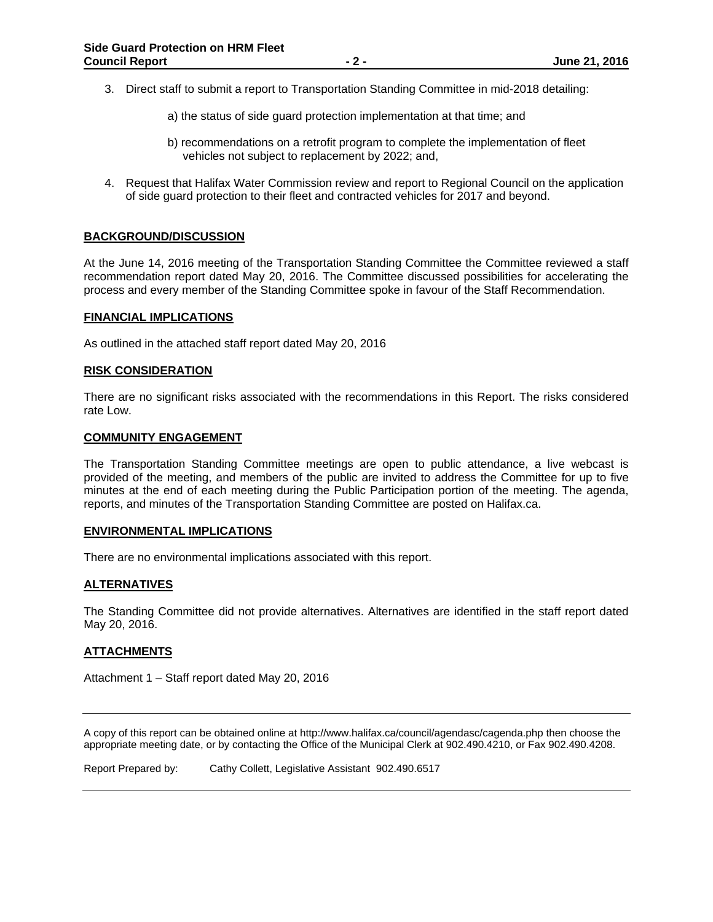- 3. Direct staff to submit a report to Transportation Standing Committee in mid-2018 detailing:
	- a) the status of side guard protection implementation at that time; and
	- b) recommendations on a retrofit program to complete the implementation of fleet vehicles not subject to replacement by 2022; and,
- 4. Request that Halifax Water Commission review and report to Regional Council on the application of side guard protection to their fleet and contracted vehicles for 2017 and beyond.

## **BACKGROUND/DISCUSSION**

At the June 14, 2016 meeting of the Transportation Standing Committee the Committee reviewed a staff recommendation report dated May 20, 2016. The Committee discussed possibilities for accelerating the process and every member of the Standing Committee spoke in favour of the Staff Recommendation.

#### **FINANCIAL IMPLICATIONS**

As outlined in the attached staff report dated May 20, 2016

#### **RISK CONSIDERATION**

There are no significant risks associated with the recommendations in this Report. The risks considered rate Low.

#### **COMMUNITY ENGAGEMENT**

The Transportation Standing Committee meetings are open to public attendance, a live webcast is provided of the meeting, and members of the public are invited to address the Committee for up to five minutes at the end of each meeting during the Public Participation portion of the meeting. The agenda, reports, and minutes of the Transportation Standing Committee are posted on Halifax.ca.

#### **ENVIRONMENTAL IMPLICATIONS**

There are no environmental implications associated with this report.

#### **ALTERNATIVES**

The Standing Committee did not provide alternatives. Alternatives are identified in the staff report dated May 20, 2016.

## **ATTACHMENTS**

Attachment 1 – Staff report dated May 20, 2016

A copy of this report can be obtained online at http://www.halifax.ca/council/agendasc/cagenda.php then choose the appropriate meeting date, or by contacting the Office of the Municipal Clerk at 902.490.4210, or Fax 902.490.4208.

Report Prepared by: Cathy Collett, Legislative Assistant 902.490.6517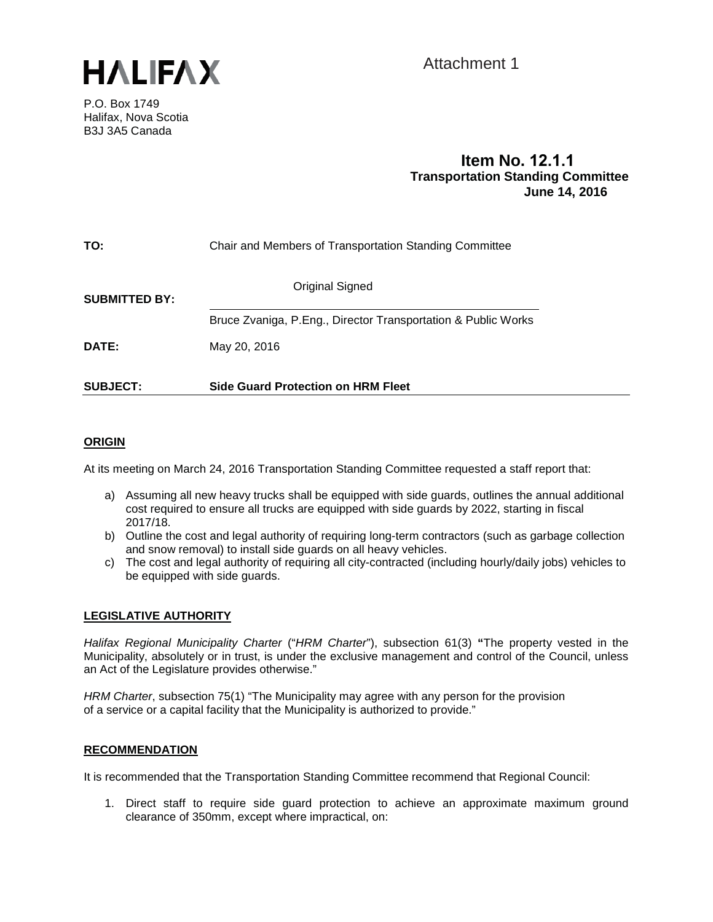

Attachment 1

P.O. Box 1749 Halifax, Nova Scotia B3J 3A5 Canada

# **Item No. Transportation Standing Committee June 14, 2016**

| TO:                  | Chair and Members of Transportation Standing Committee        |
|----------------------|---------------------------------------------------------------|
| <b>SUBMITTED BY:</b> | Original Signed                                               |
|                      | Bruce Zvaniga, P.Eng., Director Transportation & Public Works |
| DATE:                | May 20, 2016                                                  |
| <b>SUBJECT:</b>      | <b>Side Guard Protection on HRM Fleet</b>                     |

# **ORIGIN**

At its meeting on March 24, 2016 Transportation Standing Committee requested a staff report that:

- a) Assuming all new heavy trucks shall be equipped with side guards, outlines the annual additional cost required to ensure all trucks are equipped with side guards by 2022, starting in fiscal 2017/18.
- b) Outline the cost and legal authority of requiring long-term contractors (such as garbage collection and snow removal) to install side guards on all heavy vehicles.
- c) The cost and legal authority of requiring all city-contracted (including hourly/daily jobs) vehicles to be equipped with side guards.

## **LEGISLATIVE AUTHORITY**

*Halifax Regional Municipality Charter* ("*HRM Charter*"), subsection 61(3) **"**The property vested in the Municipality, absolutely or in trust, is under the exclusive management and control of the Council, unless an Act of the Legislature provides otherwise."

*HRM Charter*, subsection 75(1) "The Municipality may agree with any person for the provision of a service or a capital facility that the Municipality is authorized to provide."

## **RECOMMENDATION**

It is recommended that the Transportation Standing Committee recommend that Regional Council:

1. Direct staff to require side guard protection to achieve an approximate maximum ground clearance of 350mm, except where impractical, on: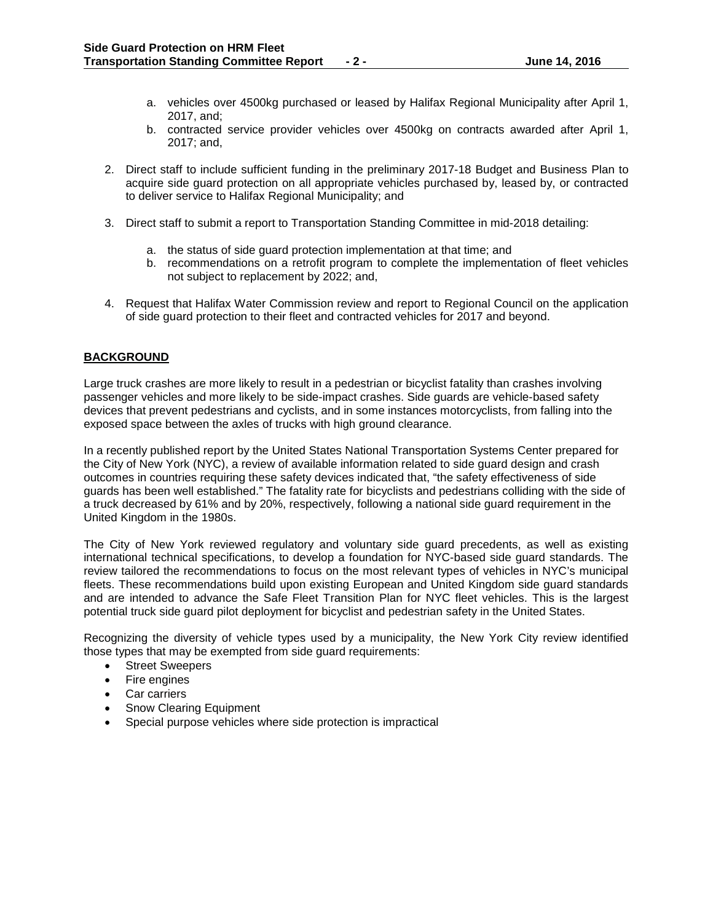- a. vehicles over 4500kg purchased or leased by Halifax Regional Municipality after April 1, 2017, and;
- b. contracted service provider vehicles over 4500kg on contracts awarded after April 1, 2017; and,
- 2. Direct staff to include sufficient funding in the preliminary 2017-18 Budget and Business Plan to acquire side guard protection on all appropriate vehicles purchased by, leased by, or contracted to deliver service to Halifax Regional Municipality; and
- 3. Direct staff to submit a report to Transportation Standing Committee in mid-2018 detailing:
	- a. the status of side guard protection implementation at that time; and
	- b. recommendations on a retrofit program to complete the implementation of fleet vehicles not subject to replacement by 2022; and,
- 4. Request that Halifax Water Commission review and report to Regional Council on the application of side guard protection to their fleet and contracted vehicles for 2017 and beyond.

# **BACKGROUND**

Large truck crashes are more likely to result in a pedestrian or bicyclist fatality than crashes involving passenger vehicles and more likely to be side-impact crashes. Side guards are vehicle-based safety devices that prevent pedestrians and cyclists, and in some instances motorcyclists, from falling into the exposed space between the axles of trucks with high ground clearance.

In a recently published report by the United States National Transportation Systems Center prepared for the City of New York (NYC), a review of available information related to side guard design and crash outcomes in countries requiring these safety devices indicated that, "the safety effectiveness of side guards has been well established." The fatality rate for bicyclists and pedestrians colliding with the side of a truck decreased by 61% and by 20%, respectively, following a national side guard requirement in the United Kingdom in the 1980s.

The City of New York reviewed regulatory and voluntary side guard precedents, as well as existing international technical specifications, to develop a foundation for NYC-based side guard standards. The review tailored the recommendations to focus on the most relevant types of vehicles in NYC's municipal fleets. These recommendations build upon existing European and United Kingdom side guard standards and are intended to advance the Safe Fleet Transition Plan for NYC fleet vehicles. This is the largest potential truck side guard pilot deployment for bicyclist and pedestrian safety in the United States.

Recognizing the diversity of vehicle types used by a municipality, the New York City review identified those types that may be exempted from side guard requirements:

- Street Sweepers
- Fire engines
- Car carriers
- Snow Clearing Equipment
- Special purpose vehicles where side protection is impractical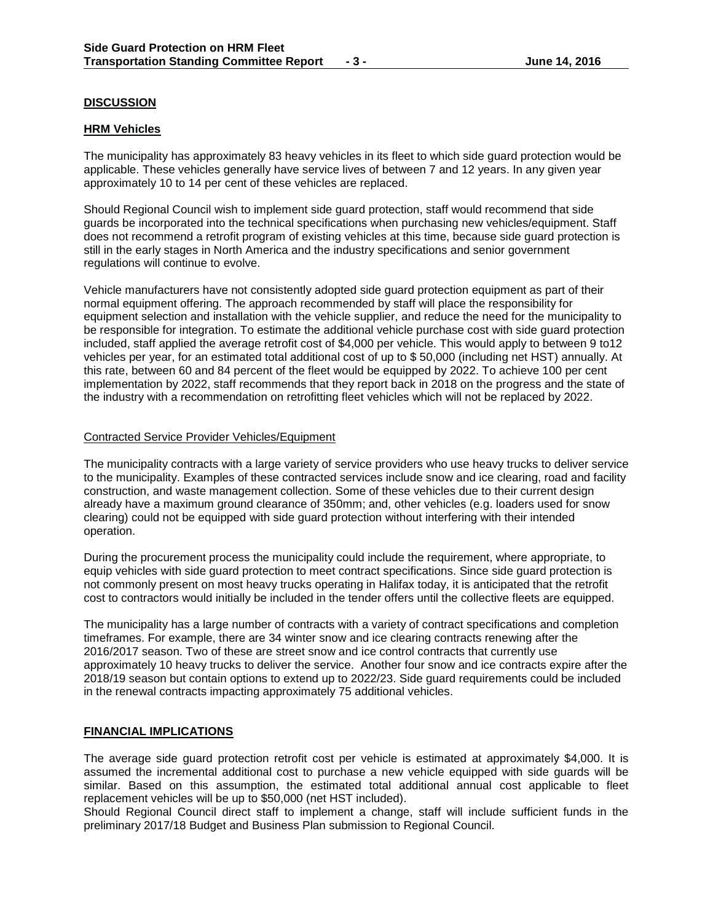# **DISCUSSION**

## **HRM Vehicles**

The municipality has approximately 83 heavy vehicles in its fleet to which side guard protection would be applicable. These vehicles generally have service lives of between 7 and 12 years. In any given year approximately 10 to 14 per cent of these vehicles are replaced.

Should Regional Council wish to implement side guard protection, staff would recommend that side guards be incorporated into the technical specifications when purchasing new vehicles/equipment. Staff does not recommend a retrofit program of existing vehicles at this time, because side guard protection is still in the early stages in North America and the industry specifications and senior government regulations will continue to evolve.

Vehicle manufacturers have not consistently adopted side guard protection equipment as part of their normal equipment offering. The approach recommended by staff will place the responsibility for equipment selection and installation with the vehicle supplier, and reduce the need for the municipality to be responsible for integration. To estimate the additional vehicle purchase cost with side guard protection included, staff applied the average retrofit cost of \$4,000 per vehicle. This would apply to between 9 to12 vehicles per year, for an estimated total additional cost of up to \$ 50,000 (including net HST) annually. At this rate, between 60 and 84 percent of the fleet would be equipped by 2022. To achieve 100 per cent implementation by 2022, staff recommends that they report back in 2018 on the progress and the state of the industry with a recommendation on retrofitting fleet vehicles which will not be replaced by 2022.

## Contracted Service Provider Vehicles/Equipment

The municipality contracts with a large variety of service providers who use heavy trucks to deliver service to the municipality. Examples of these contracted services include snow and ice clearing, road and facility construction, and waste management collection. Some of these vehicles due to their current design already have a maximum ground clearance of 350mm; and, other vehicles (e.g. loaders used for snow clearing) could not be equipped with side guard protection without interfering with their intended operation.

During the procurement process the municipality could include the requirement, where appropriate, to equip vehicles with side guard protection to meet contract specifications. Since side guard protection is not commonly present on most heavy trucks operating in Halifax today, it is anticipated that the retrofit cost to contractors would initially be included in the tender offers until the collective fleets are equipped.

The municipality has a large number of contracts with a variety of contract specifications and completion timeframes. For example, there are 34 winter snow and ice clearing contracts renewing after the 2016/2017 season. Two of these are street snow and ice control contracts that currently use approximately 10 heavy trucks to deliver the service. Another four snow and ice contracts expire after the 2018/19 season but contain options to extend up to 2022/23. Side guard requirements could be included in the renewal contracts impacting approximately 75 additional vehicles.

## **FINANCIAL IMPLICATIONS**

The average side guard protection retrofit cost per vehicle is estimated at approximately \$4,000. It is assumed the incremental additional cost to purchase a new vehicle equipped with side guards will be similar. Based on this assumption, the estimated total additional annual cost applicable to fleet replacement vehicles will be up to \$50,000 (net HST included).

Should Regional Council direct staff to implement a change, staff will include sufficient funds in the preliminary 2017/18 Budget and Business Plan submission to Regional Council.